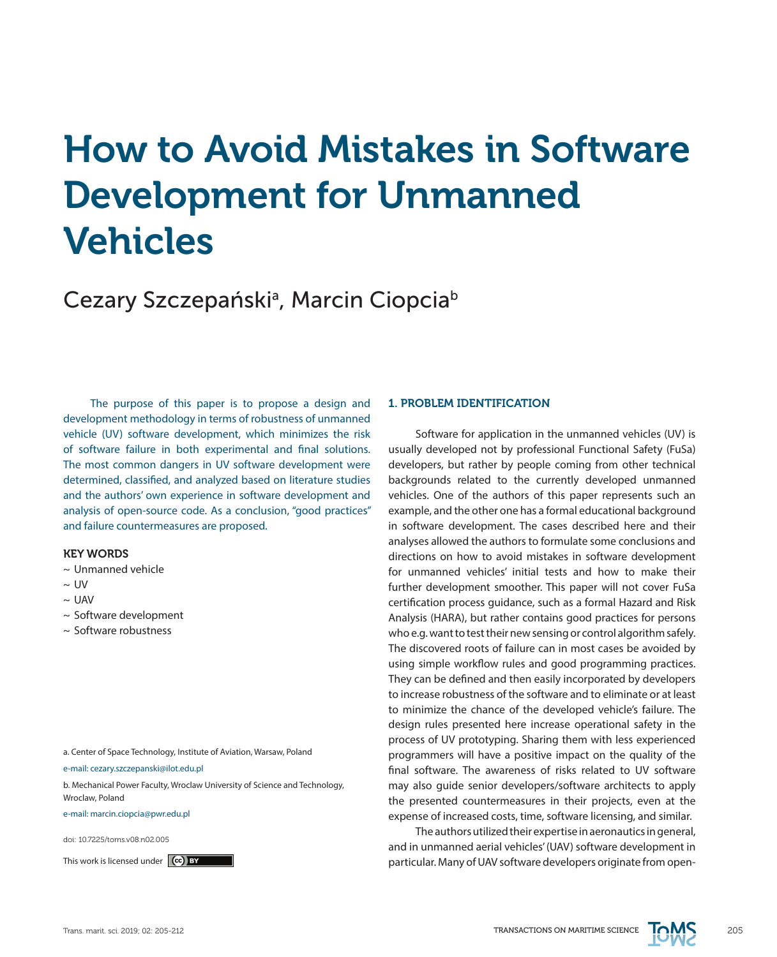# How to Avoid Mistakes in Software Development for Unmanned Vehicles

# Cezary Szczepański<sup>a</sup>, Marcin Ciopcia<sup>b</sup>

The purpose of this paper is to propose a design and development methodology in terms of robustness of unmanned vehicle (UV) software development, which minimizes the risk of software failure in both experimental and final solutions. The most common dangers in UV software development were determined, classified, and analyzed based on literature studies and the authors' own experience in software development and analysis of open-source code. As a conclusion, "good practices" and failure countermeasures are proposed.

# KEY WORDS

- ~ Unmanned vehicle
- $\sim 1$  IV
- $\sim$  UAV
- ~ Software development
- ~ Software robustness

a. Center of Space Technology, Institute of Aviation, Warsaw, Poland

e-mail: cezary.szczepanski@ilot.edu.pl

b. Mechanical Power Faculty, Wroclaw University of Science and Technology, Wroclaw, Poland

e-mail: marcin.ciopcia@pwr.edu.pl

doi: 10.7225/toms.v08.n02.005

# 1. PROBLEM IDENTIFICATION

Software for application in the unmanned vehicles (UV) is usually developed not by professional Functional Safety (FuSa) developers, but rather by people coming from other technical backgrounds related to the currently developed unmanned vehicles. One of the authors of this paper represents such an example, and the other one has a formal educational background in software development. The cases described here and their analyses allowed the authors to formulate some conclusions and directions on how to avoid mistakes in software development for unmanned vehicles' initial tests and how to make their further development smoother. This paper will not cover FuSa certification process guidance, such as a formal Hazard and Risk Analysis (HARA), but rather contains good practices for persons who e.g. want to test their new sensing or control algorithm safely. The discovered roots of failure can in most cases be avoided by using simple workflow rules and good programming practices. They can be defined and then easily incorporated by developers to increase robustness of the software and to eliminate or at least to minimize the chance of the developed vehicle's failure. The design rules presented here increase operational safety in the process of UV prototyping. Sharing them with less experienced programmers will have a positive impact on the quality of the final software. The awareness of risks related to UV software may also guide senior developers/software architects to apply the presented countermeasures in their projects, even at the expense of increased costs, time, software licensing, and similar.

The authors utilized their expertise in aeronautics in general, and in unmanned aerial vehicles' (UAV) software development in This work is licensed under  $\ket{\mathbf{e}}$  by the same of the state of particular. Many of UAV software developers originate from open-

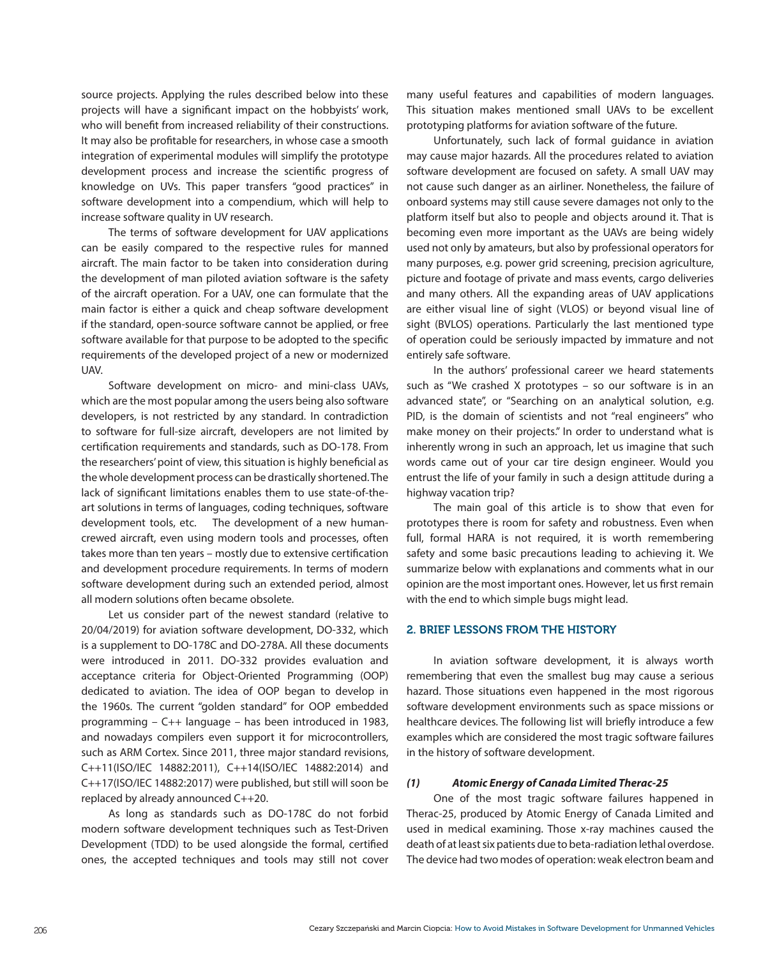source projects. Applying the rules described below into these projects will have a significant impact on the hobbyists' work, who will benefit from increased reliability of their constructions. It may also be profitable for researchers, in whose case a smooth integration of experimental modules will simplify the prototype development process and increase the scientific progress of knowledge on UVs. This paper transfers "good practices" in software development into a compendium, which will help to increase software quality in UV research.

The terms of software development for UAV applications can be easily compared to the respective rules for manned aircraft. The main factor to be taken into consideration during the development of man piloted aviation software is the safety of the aircraft operation. For a UAV, one can formulate that the main factor is either a quick and cheap software development if the standard, open-source software cannot be applied, or free software available for that purpose to be adopted to the specific requirements of the developed project of a new or modernized UAV.

Software development on micro- and mini-class UAVs, which are the most popular among the users being also software developers, is not restricted by any standard. In contradiction to software for full-size aircraft, developers are not limited by certification requirements and standards, such as DO-178. From the researchers' point of view, this situation is highly beneficial as the whole development process can be drastically shortened. The lack of significant limitations enables them to use state-of-theart solutions in terms of languages, coding techniques, software development tools, etc. The development of a new humancrewed aircraft, even using modern tools and processes, often takes more than ten years – mostly due to extensive certification and development procedure requirements. In terms of modern software development during such an extended period, almost all modern solutions often became obsolete.

Let us consider part of the newest standard (relative to 20/04/2019) for aviation software development, DO-332, which is a supplement to DO-178C and DO-278A. All these documents were introduced in 2011. DO-332 provides evaluation and acceptance criteria for Object-Oriented Programming (OOP) dedicated to aviation. The idea of OOP began to develop in the 1960s. The current "golden standard" for OOP embedded programming – C++ language – has been introduced in 1983, and nowadays compilers even support it for microcontrollers, such as ARM Cortex. Since 2011, three major standard revisions, C++11(ISO/IEC 14882:2011), C++14(ISO/IEC 14882:2014) and C++17(ISO/IEC 14882:2017) were published, but still will soon be replaced by already announced C++20.

As long as standards such as DO-178C do not forbid modern software development techniques such as Test-Driven Development (TDD) to be used alongside the formal, certified ones, the accepted techniques and tools may still not cover many useful features and capabilities of modern languages. This situation makes mentioned small UAVs to be excellent prototyping platforms for aviation software of the future.

Unfortunately, such lack of formal guidance in aviation may cause major hazards. All the procedures related to aviation software development are focused on safety. A small UAV may not cause such danger as an airliner. Nonetheless, the failure of onboard systems may still cause severe damages not only to the platform itself but also to people and objects around it. That is becoming even more important as the UAVs are being widely used not only by amateurs, but also by professional operators for many purposes, e.g. power grid screening, precision agriculture, picture and footage of private and mass events, cargo deliveries and many others. All the expanding areas of UAV applications are either visual line of sight (VLOS) or beyond visual line of sight (BVLOS) operations. Particularly the last mentioned type of operation could be seriously impacted by immature and not entirely safe software.

In the authors' professional career we heard statements such as "We crashed X prototypes – so our software is in an advanced state", or "Searching on an analytical solution, e.g. PID, is the domain of scientists and not "real engineers" who make money on their projects." In order to understand what is inherently wrong in such an approach, let us imagine that such words came out of your car tire design engineer. Would you entrust the life of your family in such a design attitude during a highway vacation trip?

The main goal of this article is to show that even for prototypes there is room for safety and robustness. Even when full, formal HARA is not required, it is worth remembering safety and some basic precautions leading to achieving it. We summarize below with explanations and comments what in our opinion are the most important ones. However, let us first remain with the end to which simple bugs might lead.

# 2. BRIEF LESSONS FROM THE HISTORY

In aviation software development, it is always worth remembering that even the smallest bug may cause a serious hazard. Those situations even happened in the most rigorous software development environments such as space missions or healthcare devices. The following list will briefly introduce a few examples which are considered the most tragic software failures in the history of software development.

## *(1) Atomic Energy of Canada Limited Therac-25*

One of the most tragic software failures happened in Therac-25, produced by Atomic Energy of Canada Limited and used in medical examining. Those x-ray machines caused the death of at least six patients due to beta-radiation lethal overdose. The device had two modes of operation: weak electron beam and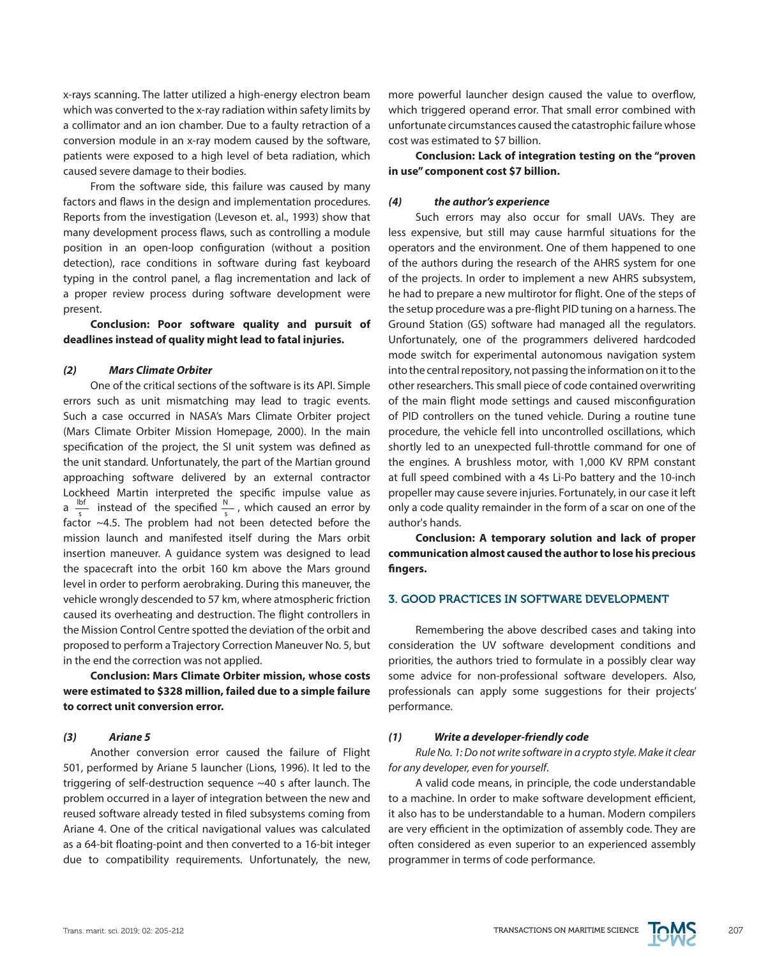x-rays scanning. The latter utilized a high-energy electron beam which was converted to the x-ray radiation within safety limits by a collimator and an ion chamber. Due to a faulty retraction of a conversion module in an x-ray modem caused by the software, patients were exposed to a high level of beta radiation, which caused severe damage to their bodies.

From the software side, this failure was caused by many factors and flaws in the design and implementation procedures. Reports from the investigation (Leveson et. al., 1993) show that many development process flaws, such as controlling a module position in an open-loop configuration (without a position detection), race conditions in software during fast keyboard typing in the control panel, a flag incrementation and lack of a proper review process during software development were present.

# **Conclusion: Poor software quality and pursuit of deadlines instead of quality might lead to fatal injuries.**

# *(2) Mars Climate Orbiter*

One of the critical sections of the software is its API. Simple errors such as unit mismatching may lead to tragic events. Such a case occurred in NASA's Mars Climate Orbiter project (Mars Climate Orbiter Mission Homepage, 2000). In the main specification of the project, the SI unit system was defined as the unit standard. Unfortunately, the part of the Martian ground approaching software delivered by an external contractor Lockheed Martin interpreted the specific impulse value as a  $\frac{1bf}{f}$  instead of the specified  $\frac{N}{f}$ , which caused an error by factor  $\sim$ 4.5. The problem had not been detected before the mission launch and manifested itself during the Mars orbit insertion maneuver. A guidance system was designed to lead the spacecraft into the orbit 160 km above the Mars ground level in order to perform aerobraking. During this maneuver, the vehicle wrongly descended to 57 km, where atmospheric friction caused its overheating and destruction. The flight controllers in the Mission Control Centre spotted the deviation of the orbit and proposed to perform a Trajectory Correction Maneuver No. 5, but in the end the correction was not applied. s N s

**Conclusion: Mars Climate Orbiter mission, whose costs were estimated to \$328 million, failed due to a simple failure to correct unit conversion error.**

#### *(3) Ariane 5*

Another conversion error caused the failure of Flight 501, performed by Ariane 5 launcher (Lions, 1996). It led to the triggering of self-destruction sequence ~40 s after launch. The problem occurred in a layer of integration between the new and reused software already tested in filed subsystems coming from Ariane 4. One of the critical navigational values was calculated as a 64-bit floating-point and then converted to a 16-bit integer due to compatibility requirements. Unfortunately, the new, more powerful launcher design caused the value to overflow, which triggered operand error. That small error combined with unfortunate circumstances caused the catastrophic failure whose cost was estimated to \$7 billion.

**Conclusion: Lack of integration testing on the "proven in use" component cost \$7 billion.**

#### *(4) the author's experience*

Such errors may also occur for small UAVs. They are less expensive, but still may cause harmful situations for the operators and the environment. One of them happened to one of the authors during the research of the AHRS system for one of the projects. In order to implement a new AHRS subsystem, he had to prepare a new multirotor for flight. One of the steps of the setup procedure was a pre-flight PID tuning on a harness. The Ground Station (GS) software had managed all the regulators. Unfortunately, one of the programmers delivered hardcoded mode switch for experimental autonomous navigation system into the central repository, not passing the information on it to the other researchers. This small piece of code contained overwriting of the main flight mode settings and caused misconfiguration of PID controllers on the tuned vehicle. During a routine tune procedure, the vehicle fell into uncontrolled oscillations, which shortly led to an unexpected full-throttle command for one of the engines. A brushless motor, with 1,000 KV RPM constant at full speed combined with a 4s Li-Po battery and the 10-inch propeller may cause severe injuries. Fortunately, in our case it left only a code quality remainder in the form of a scar on one of the author's hands.

**Conclusion: A temporary solution and lack of proper communication almost caused the author to lose his precious fingers.**

# 3. GOOD PRACTICES IN SOFTWARE DEVELOPMENT

Remembering the above described cases and taking into consideration the UV software development conditions and priorities, the authors tried to formulate in a possibly clear way some advice for non-professional software developers. Also, professionals can apply some suggestions for their projects' performance.

#### *(1) Write a developer-friendly code*

*Rule No. 1: Do not write software in a crypto style. Make it clear for any developer, even for yourself*.

A valid code means, in principle, the code understandable to a machine. In order to make software development efficient, it also has to be understandable to a human. Modern compilers are very efficient in the optimization of assembly code. They are often considered as even superior to an experienced assembly programmer in terms of code performance.

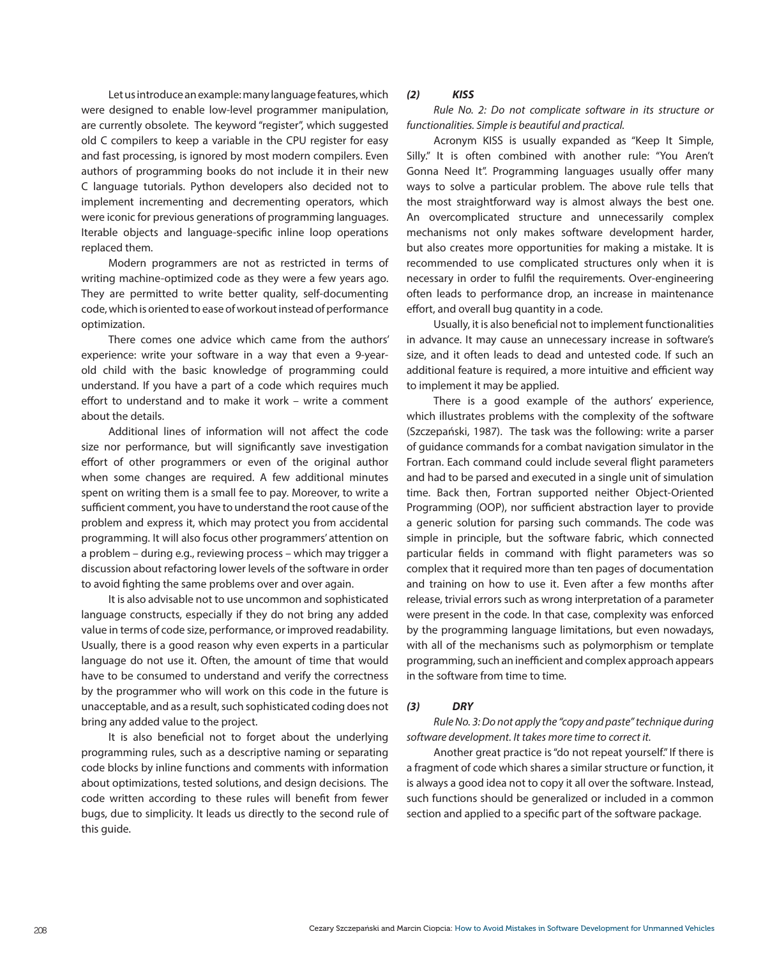Let us introduce an example: many language features, which were designed to enable low-level programmer manipulation, are currently obsolete. The keyword "register", which suggested old C compilers to keep a variable in the CPU register for easy and fast processing, is ignored by most modern compilers. Even authors of programming books do not include it in their new C language tutorials. Python developers also decided not to implement incrementing and decrementing operators, which were iconic for previous generations of programming languages. Iterable objects and language-specific inline loop operations replaced them.

Modern programmers are not as restricted in terms of writing machine-optimized code as they were a few years ago. They are permitted to write better quality, self-documenting code, which is oriented to ease of workout instead of performance optimization.

There comes one advice which came from the authors' experience: write your software in a way that even a 9-yearold child with the basic knowledge of programming could understand. If you have a part of a code which requires much effort to understand and to make it work – write a comment about the details.

Additional lines of information will not affect the code size nor performance, but will significantly save investigation effort of other programmers or even of the original author when some changes are required. A few additional minutes spent on writing them is a small fee to pay. Moreover, to write a sufficient comment, you have to understand the root cause of the problem and express it, which may protect you from accidental programming. It will also focus other programmers' attention on a problem – during e.g., reviewing process – which may trigger a discussion about refactoring lower levels of the software in order to avoid fighting the same problems over and over again.

It is also advisable not to use uncommon and sophisticated language constructs, especially if they do not bring any added value in terms of code size, performance, or improved readability. Usually, there is a good reason why even experts in a particular language do not use it. Often, the amount of time that would have to be consumed to understand and verify the correctness by the programmer who will work on this code in the future is unacceptable, and as a result, such sophisticated coding does not bring any added value to the project.

It is also beneficial not to forget about the underlying programming rules, such as a descriptive naming or separating code blocks by inline functions and comments with information about optimizations, tested solutions, and design decisions. The code written according to these rules will benefit from fewer bugs, due to simplicity. It leads us directly to the second rule of this guide.

# *(2) KISS*

*Rule No. 2: Do not complicate software in its structure or functionalities. Simple is beautiful and practical.*

Acronym KISS is usually expanded as "Keep It Simple, Silly." It is often combined with another rule: "You Aren't Gonna Need It". Programming languages usually offer many ways to solve a particular problem. The above rule tells that the most straightforward way is almost always the best one. An overcomplicated structure and unnecessarily complex mechanisms not only makes software development harder, but also creates more opportunities for making a mistake. It is recommended to use complicated structures only when it is necessary in order to fulfil the requirements. Over-engineering often leads to performance drop, an increase in maintenance effort, and overall bug quantity in a code.

Usually, it is also beneficial not to implement functionalities in advance. It may cause an unnecessary increase in software's size, and it often leads to dead and untested code. If such an additional feature is required, a more intuitive and efficient way to implement it may be applied.

There is a good example of the authors' experience, which illustrates problems with the complexity of the software (Szczepański, 1987). The task was the following: write a parser of guidance commands for a combat navigation simulator in the Fortran. Each command could include several flight parameters and had to be parsed and executed in a single unit of simulation time. Back then, Fortran supported neither Object-Oriented Programming (OOP), nor sufficient abstraction layer to provide a generic solution for parsing such commands. The code was simple in principle, but the software fabric, which connected particular fields in command with flight parameters was so complex that it required more than ten pages of documentation and training on how to use it. Even after a few months after release, trivial errors such as wrong interpretation of a parameter were present in the code. In that case, complexity was enforced by the programming language limitations, but even nowadays, with all of the mechanisms such as polymorphism or template programming, such an inefficient and complex approach appears in the software from time to time.

#### *(3) DRY*

*Rule No. 3: Do not apply the "copy and paste" technique during software development. It takes more time to correct it.*

Another great practice is "do not repeat yourself." If there is a fragment of code which shares a similar structure or function, it is always a good idea not to copy it all over the software. Instead, such functions should be generalized or included in a common section and applied to a specific part of the software package.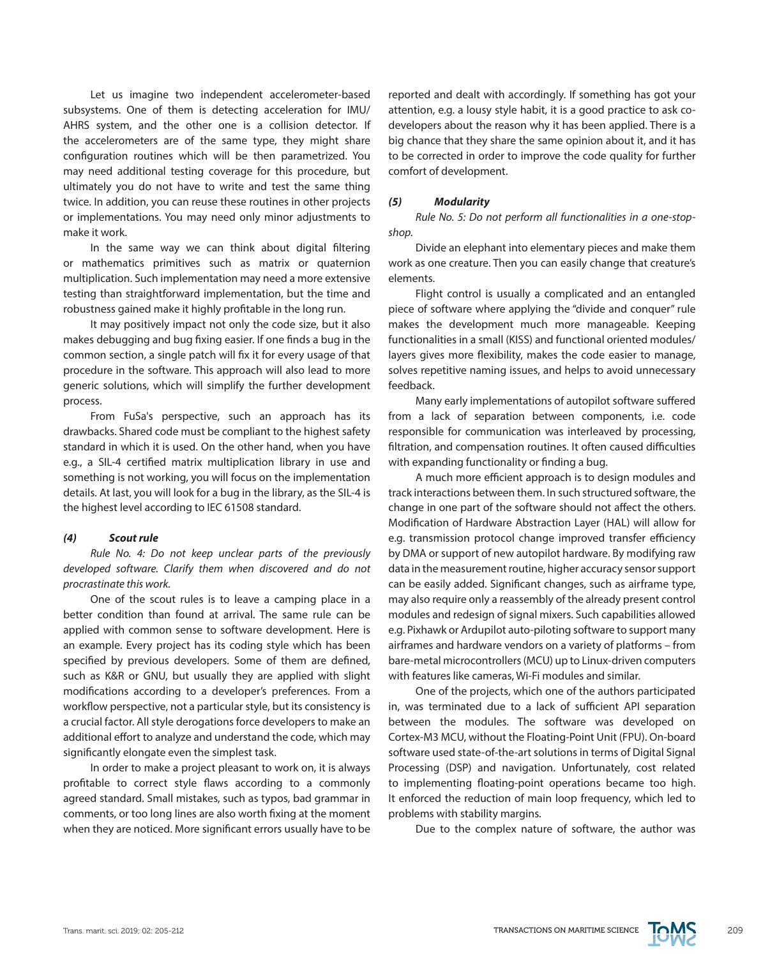Let us imagine two independent accelerometer-based subsystems. One of them is detecting acceleration for IMU/ AHRS system, and the other one is a collision detector. If the accelerometers are of the same type, they might share configuration routines which will be then parametrized. You may need additional testing coverage for this procedure, but ultimately you do not have to write and test the same thing twice. In addition, you can reuse these routines in other projects or implementations. You may need only minor adjustments to make it work.

In the same way we can think about digital filtering or mathematics primitives such as matrix or quaternion multiplication. Such implementation may need a more extensive testing than straightforward implementation, but the time and robustness gained make it highly profitable in the long run.

It may positively impact not only the code size, but it also makes debugging and bug fixing easier. If one finds a bug in the common section, a single patch will fix it for every usage of that procedure in the software. This approach will also lead to more generic solutions, which will simplify the further development process.

From FuSa's perspective, such an approach has its drawbacks. Shared code must be compliant to the highest safety standard in which it is used. On the other hand, when you have e.g., a SIL-4 certified matrix multiplication library in use and something is not working, you will focus on the implementation details. At last, you will look for a bug in the library, as the SIL-4 is the highest level according to IEC 61508 standard.

#### *(4) Scout rule*

*Rule No. 4: Do not keep unclear parts of the previously developed software. Clarify them when discovered and do not procrastinate this work.*

One of the scout rules is to leave a camping place in a better condition than found at arrival. The same rule can be applied with common sense to software development. Here is an example. Every project has its coding style which has been specified by previous developers. Some of them are defined, such as K&R or GNU, but usually they are applied with slight modifications according to a developer's preferences. From a workflow perspective, not a particular style, but its consistency is a crucial factor. All style derogations force developers to make an additional effort to analyze and understand the code, which may significantly elongate even the simplest task.

In order to make a project pleasant to work on, it is always profitable to correct style flaws according to a commonly agreed standard. Small mistakes, such as typos, bad grammar in comments, or too long lines are also worth fixing at the moment when they are noticed. More significant errors usually have to be reported and dealt with accordingly. If something has got your attention, e.g. a lousy style habit, it is a good practice to ask codevelopers about the reason why it has been applied. There is a big chance that they share the same opinion about it, and it has to be corrected in order to improve the code quality for further comfort of development.

#### *(5) Modularity*

*Rule No. 5: Do not perform all functionalities in a one-stopshop.*

Divide an elephant into elementary pieces and make them work as one creature. Then you can easily change that creature's elements.

Flight control is usually a complicated and an entangled piece of software where applying the "divide and conquer" rule makes the development much more manageable. Keeping functionalities in a small (KISS) and functional oriented modules/ layers gives more flexibility, makes the code easier to manage, solves repetitive naming issues, and helps to avoid unnecessary feedback.

Many early implementations of autopilot software suffered from a lack of separation between components, i.e. code responsible for communication was interleaved by processing, filtration, and compensation routines. It often caused difficulties with expanding functionality or finding a bug.

A much more efficient approach is to design modules and track interactions between them. In such structured software, the change in one part of the software should not affect the others. Modification of Hardware Abstraction Layer (HAL) will allow for e.g. transmission protocol change improved transfer efficiency by DMA or support of new autopilot hardware. By modifying raw data in the measurement routine, higher accuracy sensor support can be easily added. Significant changes, such as airframe type, may also require only a reassembly of the already present control modules and redesign of signal mixers. Such capabilities allowed e.g. Pixhawk or Ardupilot auto-piloting software to support many airframes and hardware vendors on a variety of platforms – from bare-metal microcontrollers (MCU) up to Linux-driven computers with features like cameras, Wi-Fi modules and similar.

One of the projects, which one of the authors participated in, was terminated due to a lack of sufficient API separation between the modules. The software was developed on Cortex-M3 MCU, without the Floating-Point Unit (FPU). On-board software used state-of-the-art solutions in terms of Digital Signal Processing (DSP) and navigation. Unfortunately, cost related to implementing floating-point operations became too high. It enforced the reduction of main loop frequency, which led to problems with stability margins.

Due to the complex nature of software, the author was

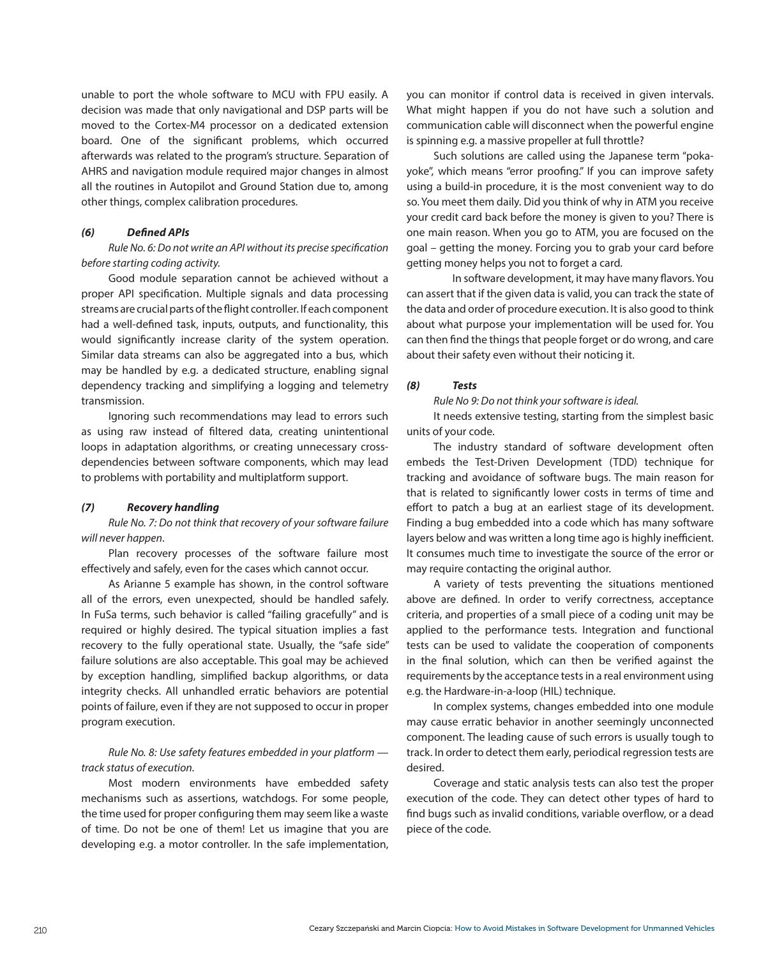unable to port the whole software to MCU with FPU easily. A decision was made that only navigational and DSP parts will be moved to the Cortex-M4 processor on a dedicated extension board. One of the significant problems, which occurred afterwards was related to the program's structure. Separation of AHRS and navigation module required major changes in almost all the routines in Autopilot and Ground Station due to, among other things, complex calibration procedures.

# *(6) Defined APIs*

*Rule No. 6: Do not write an API without its precise specification before starting coding activity.*

Good module separation cannot be achieved without a proper API specification. Multiple signals and data processing streams are crucial parts of the flight controller. If each component had a well-defined task, inputs, outputs, and functionality, this would significantly increase clarity of the system operation. Similar data streams can also be aggregated into a bus, which may be handled by e.g. a dedicated structure, enabling signal dependency tracking and simplifying a logging and telemetry transmission.

Ignoring such recommendations may lead to errors such as using raw instead of filtered data, creating unintentional loops in adaptation algorithms, or creating unnecessary crossdependencies between software components, which may lead to problems with portability and multiplatform support.

# *(7) Recovery handling*

*Rule No. 7: Do not think that recovery of your software failure will never happen*.

Plan recovery processes of the software failure most effectively and safely, even for the cases which cannot occur.

As Arianne 5 example has shown, in the control software all of the errors, even unexpected, should be handled safely. In FuSa terms, such behavior is called "failing gracefully" and is required or highly desired. The typical situation implies a fast recovery to the fully operational state. Usually, the "safe side" failure solutions are also acceptable. This goal may be achieved by exception handling, simplified backup algorithms, or data integrity checks. All unhandled erratic behaviors are potential points of failure, even if they are not supposed to occur in proper program execution.

# *Rule No. 8: Use safety features embedded in your platform track status of execution.*

Most modern environments have embedded safety mechanisms such as assertions, watchdogs. For some people, the time used for proper configuring them may seem like a waste of time. Do not be one of them! Let us imagine that you are developing e.g. a motor controller. In the safe implementation, you can monitor if control data is received in given intervals. What might happen if you do not have such a solution and communication cable will disconnect when the powerful engine is spinning e.g. a massive propeller at full throttle?

Such solutions are called using the Japanese term "pokayoke", which means "error proofing." If you can improve safety using a build-in procedure, it is the most convenient way to do so. You meet them daily. Did you think of why in ATM you receive your credit card back before the money is given to you? There is one main reason. When you go to ATM, you are focused on the goal – getting the money. Forcing you to grab your card before getting money helps you not to forget a card.

In software development, it may have many flavors. You can assert that if the given data is valid, you can track the state of the data and order of procedure execution. It is also good to think about what purpose your implementation will be used for. You can then find the things that people forget or do wrong, and care about their safety even without their noticing it.

### *(8) Tests*

*Rule No 9: Do not think your software is ideal.*

It needs extensive testing, starting from the simplest basic units of your code.

The industry standard of software development often embeds the Test-Driven Development (TDD) technique for tracking and avoidance of software bugs. The main reason for that is related to significantly lower costs in terms of time and effort to patch a bug at an earliest stage of its development. Finding a bug embedded into a code which has many software layers below and was written a long time ago is highly inefficient. It consumes much time to investigate the source of the error or may require contacting the original author.

A variety of tests preventing the situations mentioned above are defined. In order to verify correctness, acceptance criteria, and properties of a small piece of a coding unit may be applied to the performance tests. Integration and functional tests can be used to validate the cooperation of components in the final solution, which can then be verified against the requirements by the acceptance tests in a real environment using e.g. the Hardware-in-a-loop (HIL) technique.

In complex systems, changes embedded into one module may cause erratic behavior in another seemingly unconnected component. The leading cause of such errors is usually tough to track. In order to detect them early, periodical regression tests are desired.

Coverage and static analysis tests can also test the proper execution of the code. They can detect other types of hard to find bugs such as invalid conditions, variable overflow, or a dead piece of the code.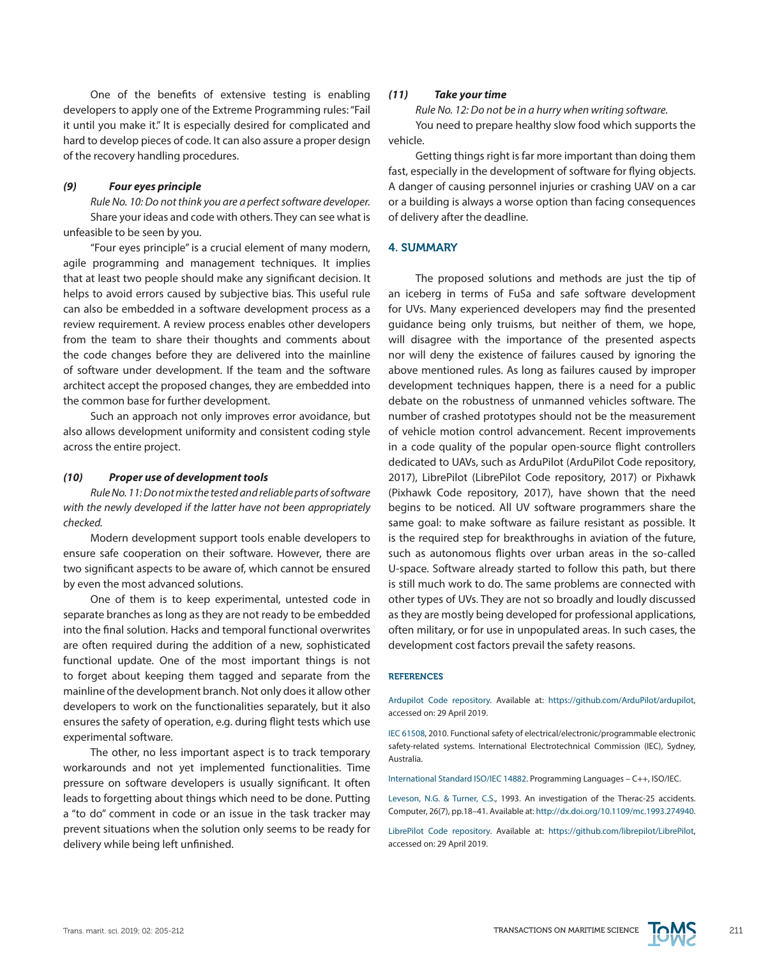One of the benefits of extensive testing is enabling developers to apply one of the Extreme Programming rules: "Fail it until you make it." It is especially desired for complicated and hard to develop pieces of code. It can also assure a proper design of the recovery handling procedures.

#### *(9) Four eyes principle*

*Rule No. 10: Do not think you are a perfect software developer.* Share your ideas and code with others. They can see what is unfeasible to be seen by you.

"Four eyes principle" is a crucial element of many modern, agile programming and management techniques. It implies that at least two people should make any significant decision. It helps to avoid errors caused by subjective bias. This useful rule can also be embedded in a software development process as a review requirement. A review process enables other developers from the team to share their thoughts and comments about the code changes before they are delivered into the mainline of software under development. If the team and the software architect accept the proposed changes, they are embedded into the common base for further development.

Such an approach not only improves error avoidance, but also allows development uniformity and consistent coding style across the entire project.

#### *(10) Proper use of development tools*

*Rule No. 11: Do not mix the tested and reliable parts of software with the newly developed if the latter have not been appropriately checked.*

Modern development support tools enable developers to ensure safe cooperation on their software. However, there are two significant aspects to be aware of, which cannot be ensured by even the most advanced solutions.

One of them is to keep experimental, untested code in separate branches as long as they are not ready to be embedded into the final solution. Hacks and temporal functional overwrites are often required during the addition of a new, sophisticated functional update. One of the most important things is not to forget about keeping them tagged and separate from the mainline of the development branch. Not only does it allow other developers to work on the functionalities separately, but it also ensures the safety of operation, e.g. during flight tests which use experimental software.

The other, no less important aspect is to track temporary workarounds and not yet implemented functionalities. Time pressure on software developers is usually significant. It often leads to forgetting about things which need to be done. Putting a "to do" comment in code or an issue in the task tracker may prevent situations when the solution only seems to be ready for delivery while being left unfinished.

#### *(11) Take your time*

*Rule No. 12: Do not be in a hurry when writing software.*

You need to prepare healthy slow food which supports the vehicle.

Getting things right is far more important than doing them fast, especially in the development of software for flying objects. A danger of causing personnel injuries or crashing UAV on a car or a building is always a worse option than facing consequences of delivery after the deadline.

#### 4. SUMMARY

The proposed solutions and methods are just the tip of an iceberg in terms of FuSa and safe software development for UVs. Many experienced developers may find the presented guidance being only truisms, but neither of them, we hope, will disagree with the importance of the presented aspects nor will deny the existence of failures caused by ignoring the above mentioned rules. As long as failures caused by improper development techniques happen, there is a need for a public debate on the robustness of unmanned vehicles software. The number of crashed prototypes should not be the measurement of vehicle motion control advancement. Recent improvements in a code quality of the popular open-source flight controllers dedicated to UAVs, such as ArduPilot (ArduPilot Code repository, 2017), LibrePilot (LibrePilot Code repository, 2017) or Pixhawk (Pixhawk Code repository, 2017), have shown that the need begins to be noticed. All UV software programmers share the same goal: to make software as failure resistant as possible. It is the required step for breakthroughs in aviation of the future, such as autonomous flights over urban areas in the so-called U-space. Software already started to follow this path, but there is still much work to do. The same problems are connected with other types of UVs. They are not so broadly and loudly discussed as they are mostly being developed for professional applications, often military, or for use in unpopulated areas. In such cases, the development cost factors prevail the safety reasons.

## **REFERENCES**

Ardupilot Code repository. Available at: <https://github.com/ArduPilot/ardupilot>, accessed on: 29 April 2019.

IEC 61508, 2010. Functional safety of electrical/electronic/programmable electronic safety-related systems. International Electrotechnical Commission (IEC), Sydney, Australia.

International Standard ISO/IEC 14882. Programming Languages – C++, ISO/IEC.

Leveson, N.G. & Turner, C.S., 1993. An investigation of the Therac-25 accidents. Computer, 26(7), pp.18–41. Available at:<http://dx.doi.org/10.1109/mc.1993.274940>.

LibrePilot Code repository. Available at: <https://github.com/librepilot/LibrePilot>, accessed on: 29 April 2019.